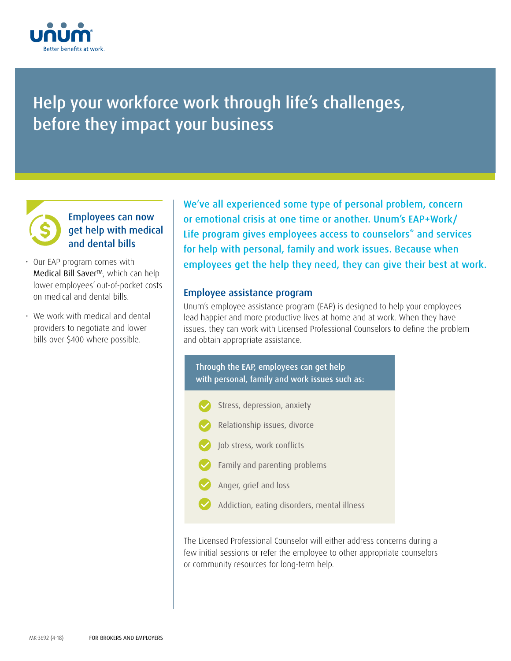

# Help your workforce work through life's challenges, before they impact your business

## Employees can now get help with medical and dental bills

- Our EAP program comes with Medical Bill Saver<sup>™</sup>, which can help lower employees' out-of-pocket costs on medical and dental bills.
- We work with medical and dental providers to negotiate and lower bills over \$400 where possible.

We've all experienced some type of personal problem, concern or emotional crisis at one time or another. Unum's EAP+Work/ Life program gives employees access to counselors<sup>\*</sup> and services for help with personal, family and work issues. Because when employees get the help they need, they can give their best at work.

## Employee assistance program

Unum's employee assistance program (EAP) is designed to help your employees lead happier and more productive lives at home and at work. When they have issues, they can work with Licensed Professional Counselors to define the problem and obtain appropriate assistance.



The Licensed Professional Counselor will either address concerns during a few initial sessions or refer the employee to other appropriate counselors or community resources for long-term help.